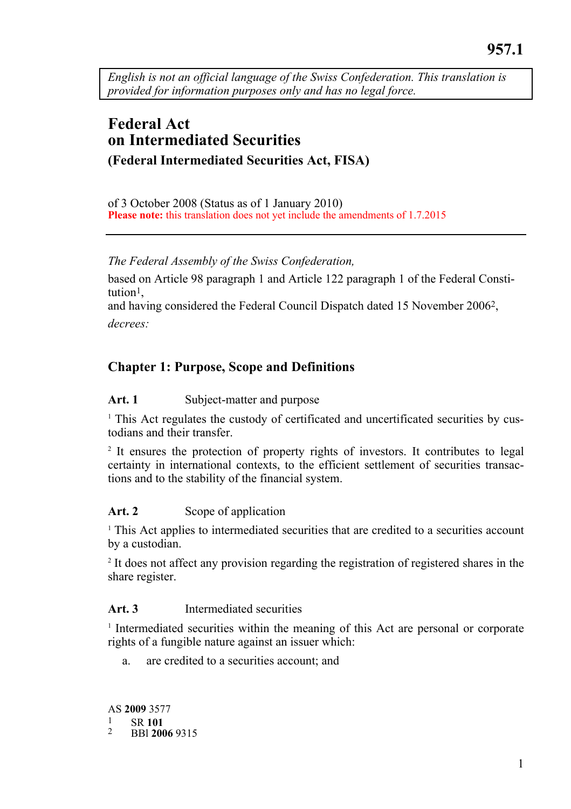*English is not an official language of the Swiss Confederation. This translation is provided for information purposes only and has no legal force.* 

# **Federal Act on Intermediated Securities (Federal Intermediated Securities Act, FISA)**

of 3 October 2008 (Status as of 1 January 2010) **Please note:** this translation does not yet include the amendments of 1.7.2015

*The Federal Assembly of the Swiss Confederation,* 

based on Article 98 paragraph 1 and Article 122 paragraph 1 of the Federal Constitution1,

and having considered the Federal Council Dispatch dated 15 November 20062, *decrees:* 

# **Chapter 1: Purpose, Scope and Definitions**

### Art. 1 Subject-matter and purpose

<sup>1</sup> This Act regulates the custody of certificated and uncertificated securities by custodians and their transfer.

<sup>2</sup> It ensures the protection of property rights of investors. It contributes to legal certainty in international contexts, to the efficient settlement of securities transactions and to the stability of the financial system.

### Art. 2 Scope of application

<sup>1</sup> This Act applies to intermediated securities that are credited to a securities account by a custodian.

<sup>2</sup> It does not affect any provision regarding the registration of registered shares in the share register.

#### **Art. 3** Intermediated securities

<sup>1</sup> Intermediated securities within the meaning of this Act are personal or corporate rights of a fungible nature against an issuer which:

a. are credited to a securities account; and

AS **2009** 3577 1 SR **<sup>101</sup>** 2 BBl **2006** <sup>9315</sup>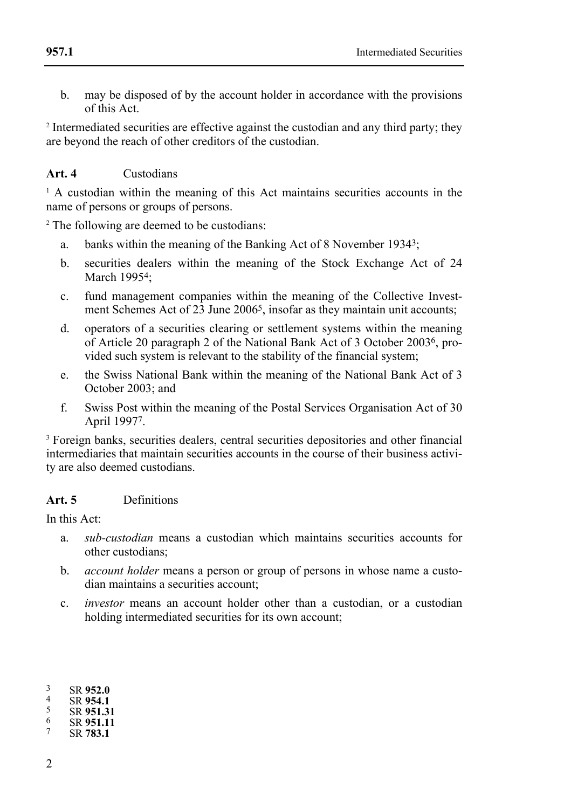b. may be disposed of by the account holder in accordance with the provisions of this Act.

<sup>2</sup> Intermediated securities are effective against the custodian and any third party; they are beyond the reach of other creditors of the custodian.

### **Art. 4** Custodians

<sup>1</sup> A custodian within the meaning of this Act maintains securities accounts in the name of persons or groups of persons.

<sup>2</sup> The following are deemed to be custodians:

- a. banks within the meaning of the Banking Act of 8 November 19343;
- b. securities dealers within the meaning of the Stock Exchange Act of 24 March 1995<sup>4</sup>:
- c. fund management companies within the meaning of the Collective Investment Schemes Act of 23 June 2006<sup>5</sup>, insofar as they maintain unit accounts;
- d. operators of a securities clearing or settlement systems within the meaning of Article 20 paragraph 2 of the National Bank Act of 3 October 20036, provided such system is relevant to the stability of the financial system;
- e. the Swiss National Bank within the meaning of the National Bank Act of 3 October 2003; and
- f. Swiss Post within the meaning of the Postal Services Organisation Act of 30 April 19977.

<sup>3</sup> Foreign banks, securities dealers, central securities depositories and other financial intermediaries that maintain securities accounts in the course of their business activity are also deemed custodians.

### **Art. 5** Definitions

In this Act:

- a. *sub-custodian* means a custodian which maintains securities accounts for other custodians;
- b. *account holder* means a person or group of persons in whose name a custodian maintains a securities account;
- c. *investor* means an account holder other than a custodian, or a custodian holding intermediated securities for its own account;

| 3  | SR 952.0  |
|----|-----------|
| 4  | SR 954.1  |
| .5 | SR 951.31 |
| 6  | SR 951.11 |
|    |           |

<sup>3</sup> SR **952.0** 4 SR **954.1** 5 SR **951.31** 6 SR **951.11** 7 SR **783.1**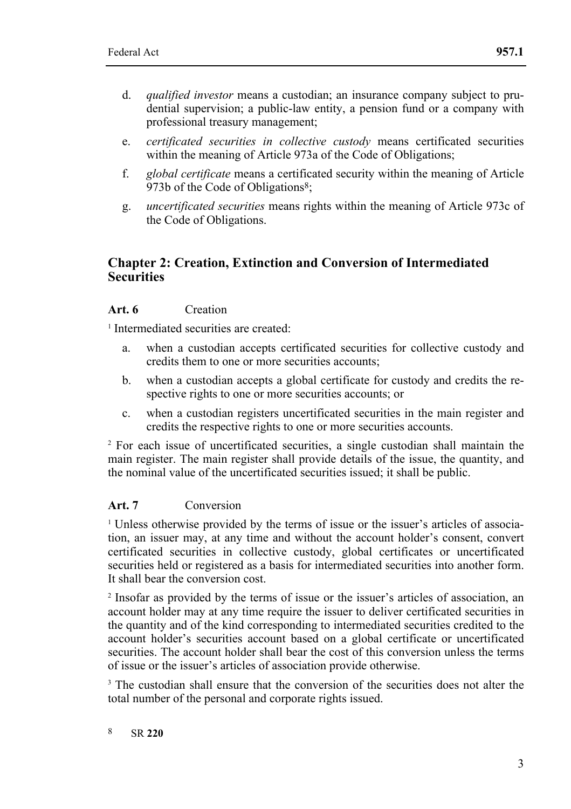- d. *qualified investor* means a custodian; an insurance company subject to prudential supervision; a public-law entity, a pension fund or a company with professional treasury management;
- e. *certificated securities in collective custody* means certificated securities within the meaning of Article 973a of the Code of Obligations;
- f. *global certificate* means a certificated security within the meaning of Article 973b of the Code of Obligations<sup>8</sup>;
- g. *uncertificated securities* means rights within the meaning of Article 973c of the Code of Obligations.

### **Chapter 2: Creation, Extinction and Conversion of Intermediated Securities**

#### **Art. 6** Creation

<sup>1</sup> Intermediated securities are created:

- a. when a custodian accepts certificated securities for collective custody and credits them to one or more securities accounts;
- b. when a custodian accepts a global certificate for custody and credits the respective rights to one or more securities accounts; or
- c. when a custodian registers uncertificated securities in the main register and credits the respective rights to one or more securities accounts.

<sup>2</sup> For each issue of uncertificated securities, a single custodian shall maintain the main register. The main register shall provide details of the issue, the quantity, and the nominal value of the uncertificated securities issued; it shall be public.

#### **Art. 7** Conversion

<sup>1</sup> Unless otherwise provided by the terms of issue or the issuer's articles of association, an issuer may, at any time and without the account holder's consent, convert certificated securities in collective custody, global certificates or uncertificated securities held or registered as a basis for intermediated securities into another form. It shall bear the conversion cost.

<sup>2</sup> Insofar as provided by the terms of issue or the issuer's articles of association, an account holder may at any time require the issuer to deliver certificated securities in the quantity and of the kind corresponding to intermediated securities credited to the account holder's securities account based on a global certificate or uncertificated securities. The account holder shall bear the cost of this conversion unless the terms of issue or the issuer's articles of association provide otherwise.

<sup>3</sup> The custodian shall ensure that the conversion of the securities does not alter the total number of the personal and corporate rights issued.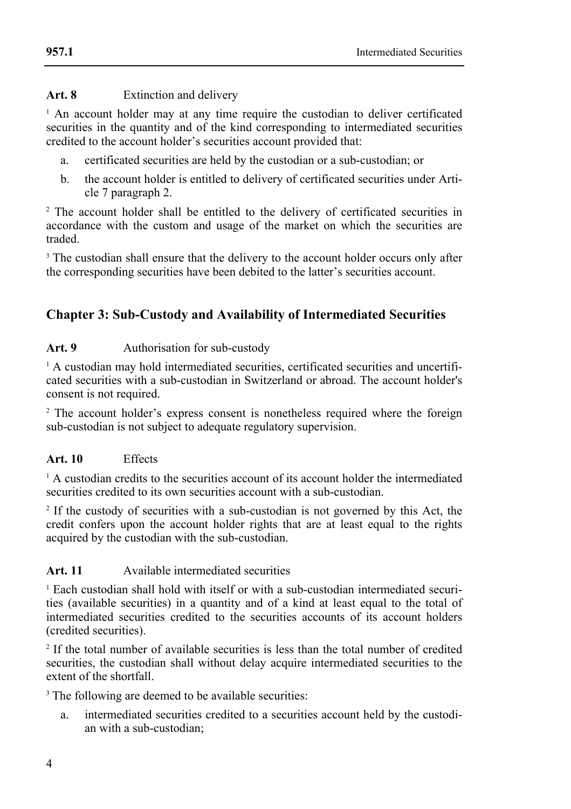#### **Art. 8** Extinction and delivery

<sup>1</sup> An account holder may at any time require the custodian to deliver certificated securities in the quantity and of the kind corresponding to intermediated securities credited to the account holder's securities account provided that:

- a. certificated securities are held by the custodian or a sub-custodian; or
- b. the account holder is entitled to delivery of certificated securities under Article 7 paragraph 2.

<sup>2</sup> The account holder shall be entitled to the delivery of certificated securities in accordance with the custom and usage of the market on which the securities are traded.

<sup>3</sup> The custodian shall ensure that the delivery to the account holder occurs only after the corresponding securities have been debited to the latter's securities account.

# **Chapter 3: Sub-Custody and Availability of Intermediated Securities**

### Art. 9 **Authorisation for sub-custody**

<sup>1</sup> A custodian may hold intermediated securities, certificated securities and uncertificated securities with a sub-custodian in Switzerland or abroad. The account holder's consent is not required.

<sup>2</sup> The account holder's express consent is nonetheless required where the foreign sub-custodian is not subject to adequate regulatory supervision.

#### **Art. 10** Effects

 $<sup>1</sup>$  A custodian credits to the securities account of its account holder the intermediated</sup> securities credited to its own securities account with a sub-custodian.

<sup>2</sup> If the custody of securities with a sub-custodian is not governed by this Act, the credit confers upon the account holder rights that are at least equal to the rights acquired by the custodian with the sub-custodian.

### **Art. 11** Available intermediated securities

 $<sup>1</sup>$  Each custodian shall hold with itself or with a sub-custodian intermediated securi-</sup> ties (available securities) in a quantity and of a kind at least equal to the total of intermediated securities credited to the securities accounts of its account holders (credited securities).

<sup>2</sup> If the total number of available securities is less than the total number of credited securities, the custodian shall without delay acquire intermediated securities to the extent of the shortfall.

<sup>3</sup> The following are deemed to be available securities:

a. intermediated securities credited to a securities account held by the custodian with a sub-custodian;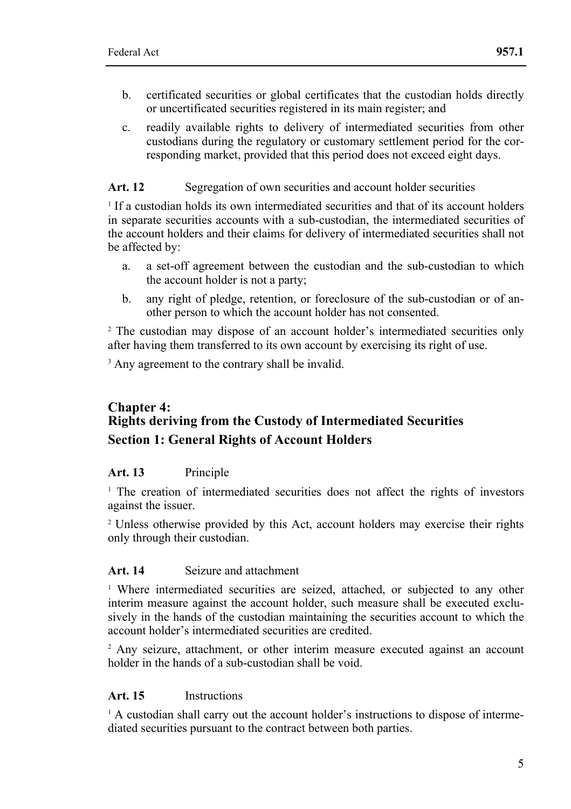- b. certificated securities or global certificates that the custodian holds directly or uncertificated securities registered in its main register; and
- c. readily available rights to delivery of intermediated securities from other custodians during the regulatory or customary settlement period for the corresponding market, provided that this period does not exceed eight days.

### Art. 12 Segregation of own securities and account holder securities

<sup>1</sup> If a custodian holds its own intermediated securities and that of its account holders in separate securities accounts with a sub-custodian, the intermediated securities of the account holders and their claims for delivery of intermediated securities shall not be affected by:

- a. a set-off agreement between the custodian and the sub-custodian to which the account holder is not a party;
- b. any right of pledge, retention, or foreclosure of the sub-custodian or of another person to which the account holder has not consented.

<sup>2</sup> The custodian may dispose of an account holder's intermediated securities only after having them transferred to its own account by exercising its right of use.

<sup>3</sup> Any agreement to the contrary shall be invalid.

# **Chapter 4: Rights deriving from the Custody of Intermediated Securities Section 1: General Rights of Account Holders**

#### **Art. 13** Principle

<sup>1</sup> The creation of intermediated securities does not affect the rights of investors against the issuer.

<sup>2</sup> Unless otherwise provided by this Act, account holders may exercise their rights only through their custodian.

#### **Art. 14** Seizure and attachment

<sup>1</sup> Where intermediated securities are seized, attached, or subjected to any other interim measure against the account holder, such measure shall be executed exclusively in the hands of the custodian maintaining the securities account to which the account holder's intermediated securities are credited.

<sup>2</sup> Any seizure, attachment, or other interim measure executed against an account holder in the hands of a sub-custodian shall be void.

### **Art. 15** Instructions

 $<sup>1</sup>$  A custodian shall carry out the account holder's instructions to dispose of interme-</sup> diated securities pursuant to the contract between both parties.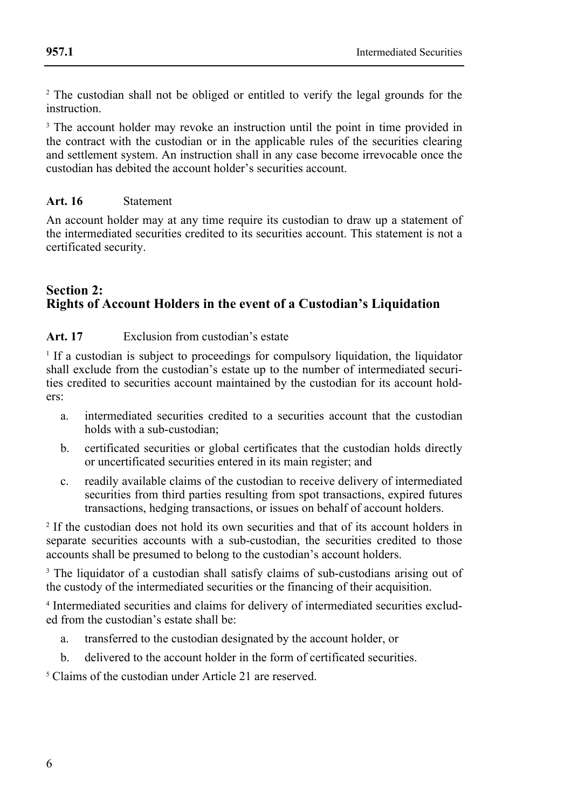<sup>2</sup> The custodian shall not be obliged or entitled to verify the legal grounds for the instruction.

<sup>3</sup> The account holder may revoke an instruction until the point in time provided in the contract with the custodian or in the applicable rules of the securities clearing and settlement system. An instruction shall in any case become irrevocable once the custodian has debited the account holder's securities account.

### **Art. 16** Statement

An account holder may at any time require its custodian to draw up a statement of the intermediated securities credited to its securities account. This statement is not a certificated security.

### **Section 2: Rights of Account Holders in the event of a Custodian's Liquidation**

**Art. 17** Exclusion from custodian's estate

<sup>1</sup> If a custodian is subject to proceedings for compulsory liquidation, the liquidator shall exclude from the custodian's estate up to the number of intermediated securities credited to securities account maintained by the custodian for its account holders:

- a. intermediated securities credited to a securities account that the custodian holds with a sub-custodian;
- b. certificated securities or global certificates that the custodian holds directly or uncertificated securities entered in its main register; and
- c. readily available claims of the custodian to receive delivery of intermediated securities from third parties resulting from spot transactions, expired futures transactions, hedging transactions, or issues on behalf of account holders.

<sup>2</sup> If the custodian does not hold its own securities and that of its account holders in separate securities accounts with a sub-custodian, the securities credited to those accounts shall be presumed to belong to the custodian's account holders.

<sup>3</sup> The liquidator of a custodian shall satisfy claims of sub-custodians arising out of the custody of the intermediated securities or the financing of their acquisition.

<sup>4</sup> Intermediated securities and claims for delivery of intermediated securities excluded from the custodian's estate shall be:

- a. transferred to the custodian designated by the account holder, or
- b. delivered to the account holder in the form of certificated securities.

<sup>5</sup> Claims of the custodian under Article 21 are reserved.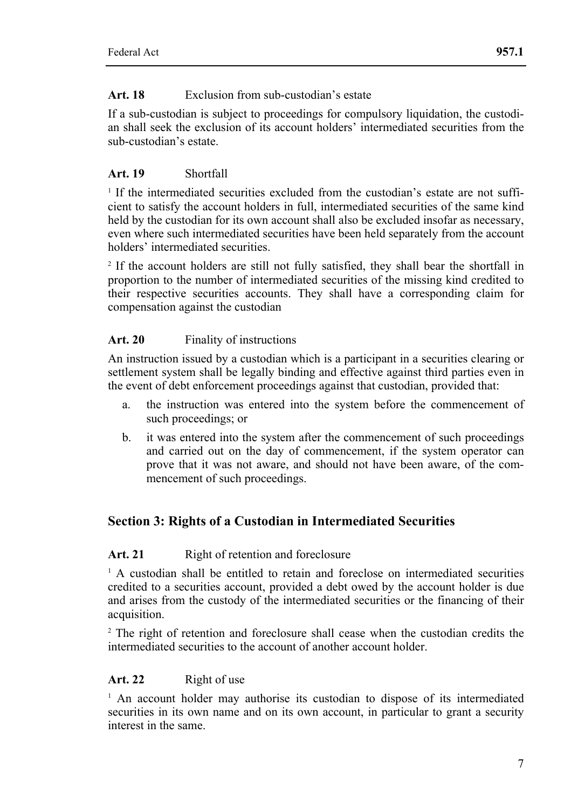### **Art. 18** Exclusion from sub-custodian's estate

If a sub-custodian is subject to proceedings for compulsory liquidation, the custodian shall seek the exclusion of its account holders' intermediated securities from the sub-custodian's estate.

### **Art. 19** Shortfall

<sup>1</sup> If the intermediated securities excluded from the custodian's estate are not sufficient to satisfy the account holders in full, intermediated securities of the same kind held by the custodian for its own account shall also be excluded insofar as necessary, even where such intermediated securities have been held separately from the account holders' intermediated securities.

<sup>2</sup> If the account holders are still not fully satisfied, they shall bear the shortfall in proportion to the number of intermediated securities of the missing kind credited to their respective securities accounts. They shall have a corresponding claim for compensation against the custodian

### **Art. 20** Finality of instructions

An instruction issued by a custodian which is a participant in a securities clearing or settlement system shall be legally binding and effective against third parties even in the event of debt enforcement proceedings against that custodian, provided that:

- a. the instruction was entered into the system before the commencement of such proceedings; or
- b. it was entered into the system after the commencement of such proceedings and carried out on the day of commencement, if the system operator can prove that it was not aware, and should not have been aware, of the commencement of such proceedings.

# **Section 3: Rights of a Custodian in Intermediated Securities**

#### Art. 21 Right of retention and foreclosure

 $<sup>1</sup>$  A custodian shall be entitled to retain and foreclose on intermediated securities</sup> credited to a securities account, provided a debt owed by the account holder is due and arises from the custody of the intermediated securities or the financing of their acquisition.

<sup>2</sup> The right of retention and foreclosure shall cease when the custodian credits the intermediated securities to the account of another account holder.

### **Art. 22** Right of use

<sup>1</sup> An account holder may authorise its custodian to dispose of its intermediated securities in its own name and on its own account, in particular to grant a security interest in the same.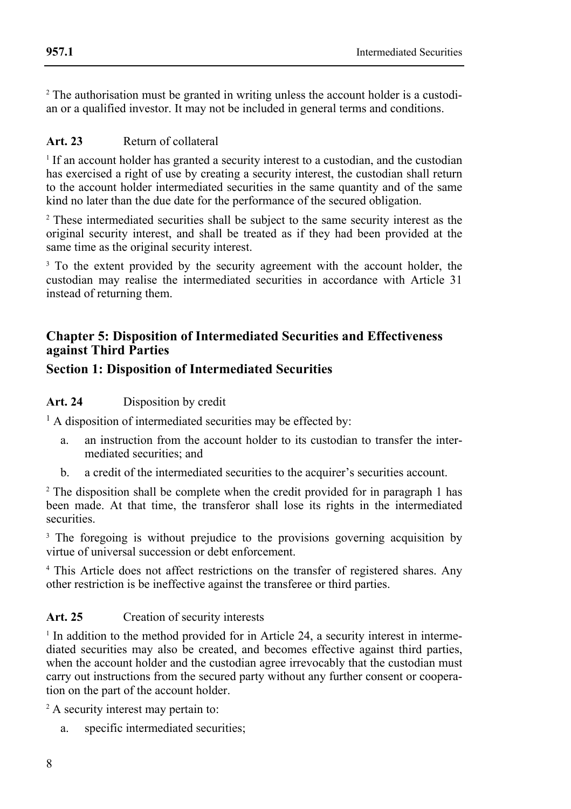<sup>2</sup> The authorisation must be granted in writing unless the account holder is a custodian or a qualified investor. It may not be included in general terms and conditions.

### **Art. 23** Return of collateral

**957.1** 

<sup>1</sup> If an account holder has granted a security interest to a custodian, and the custodian has exercised a right of use by creating a security interest, the custodian shall return to the account holder intermediated securities in the same quantity and of the same kind no later than the due date for the performance of the secured obligation.

<sup>2</sup> These intermediated securities shall be subject to the same security interest as the original security interest, and shall be treated as if they had been provided at the same time as the original security interest.

<sup>3</sup> To the extent provided by the security agreement with the account holder, the custodian may realise the intermediated securities in accordance with Article 31 instead of returning them.

### **Chapter 5: Disposition of Intermediated Securities and Effectiveness against Third Parties**

### **Section 1: Disposition of Intermediated Securities**

#### **Art. 24** Disposition by credit

<sup>1</sup> A disposition of intermediated securities may be effected by:

- a. an instruction from the account holder to its custodian to transfer the intermediated securities; and
- b. a credit of the intermediated securities to the acquirer's securities account.

<sup>2</sup> The disposition shall be complete when the credit provided for in paragraph 1 has been made. At that time, the transferor shall lose its rights in the intermediated securities.

<sup>3</sup> The foregoing is without prejudice to the provisions governing acquisition by virtue of universal succession or debt enforcement.

<sup>4</sup> This Article does not affect restrictions on the transfer of registered shares. Any other restriction is be ineffective against the transferee or third parties.

#### **Art. 25** Creation of security interests

<sup>1</sup> In addition to the method provided for in Article 24, a security interest in intermediated securities may also be created, and becomes effective against third parties, when the account holder and the custodian agree irrevocably that the custodian must carry out instructions from the secured party without any further consent or cooperation on the part of the account holder.

<sup>2</sup> A security interest may pertain to:

a. specific intermediated securities;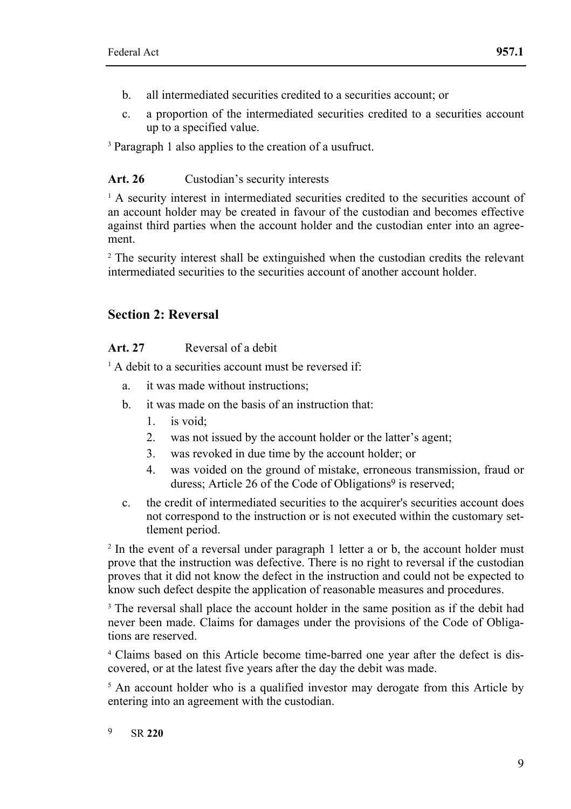- b. all intermediated securities credited to a securities account; or
- c. a proportion of the intermediated securities credited to a securities account up to a specified value.

<sup>3</sup> Paragraph 1 also applies to the creation of a usufruct.

#### Art. 26 Custodian's security interests

<sup>1</sup> A security interest in intermediated securities credited to the securities account of an account holder may be created in favour of the custodian and becomes effective against third parties when the account holder and the custodian enter into an agreement.

<sup>2</sup> The security interest shall be extinguished when the custodian credits the relevant intermediated securities to the securities account of another account holder.

### **Section 2: Reversal**

#### **Art. 27** Reversal of a debit

 $<sup>1</sup>$  A debit to a securities account must be reversed if:</sup>

- a. it was made without instructions;
- b. it was made on the basis of an instruction that:
	- 1 is void:
	- 2. was not issued by the account holder or the latter's agent;
	- 3. was revoked in due time by the account holder; or
	- 4. was voided on the ground of mistake, erroneous transmission, fraud or duress; Article 26 of the Code of Obligations<sup>9</sup> is reserved;
- c. the credit of intermediated securities to the acquirer's securities account does not correspond to the instruction or is not executed within the customary settlement period.

<sup>2</sup> In the event of a reversal under paragraph 1 letter a or b, the account holder must prove that the instruction was defective. There is no right to reversal if the custodian proves that it did not know the defect in the instruction and could not be expected to know such defect despite the application of reasonable measures and procedures.

<sup>3</sup> The reversal shall place the account holder in the same position as if the debit had never been made. Claims for damages under the provisions of the Code of Obligations are reserved.

<sup>4</sup> Claims based on this Article become time-barred one year after the defect is discovered, or at the latest five years after the day the debit was made.

<sup>5</sup> An account holder who is a qualified investor may derogate from this Article by entering into an agreement with the custodian.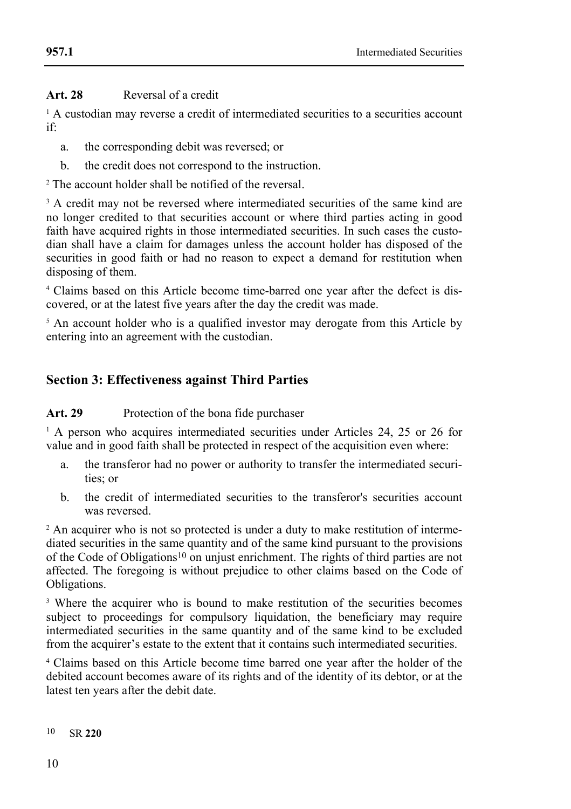### **Art. 28** Reversal of a credit

<sup>1</sup> A custodian may reverse a credit of intermediated securities to a securities account if:

- a. the corresponding debit was reversed; or
- b. the credit does not correspond to the instruction.

<sup>2</sup> The account holder shall be notified of the reversal.

<sup>3</sup> A credit may not be reversed where intermediated securities of the same kind are no longer credited to that securities account or where third parties acting in good faith have acquired rights in those intermediated securities. In such cases the custodian shall have a claim for damages unless the account holder has disposed of the securities in good faith or had no reason to expect a demand for restitution when disposing of them.

<sup>4</sup> Claims based on this Article become time-barred one year after the defect is discovered, or at the latest five years after the day the credit was made.

<sup>5</sup> An account holder who is a qualified investor may derogate from this Article by entering into an agreement with the custodian.

# **Section 3: Effectiveness against Third Parties**

**Art. 29** Protection of the bona fide purchaser

<sup>1</sup> A person who acquires intermediated securities under Articles 24, 25 or 26 for value and in good faith shall be protected in respect of the acquisition even where:

- a. the transferor had no power or authority to transfer the intermediated securities; or
- b. the credit of intermediated securities to the transferor's securities account was reversed.

<sup>2</sup> An acquirer who is not so protected is under a duty to make restitution of intermediated securities in the same quantity and of the same kind pursuant to the provisions of the Code of Obligations10 on unjust enrichment. The rights of third parties are not affected. The foregoing is without prejudice to other claims based on the Code of Obligations.

<sup>3</sup> Where the acquirer who is bound to make restitution of the securities becomes subject to proceedings for compulsory liquidation, the beneficiary may require intermediated securities in the same quantity and of the same kind to be excluded from the acquirer's estate to the extent that it contains such intermediated securities.

<sup>4</sup> Claims based on this Article become time barred one year after the holder of the debited account becomes aware of its rights and of the identity of its debtor, or at the latest ten years after the debit date.

 $10<sup>10</sup>$ 10 SR **220**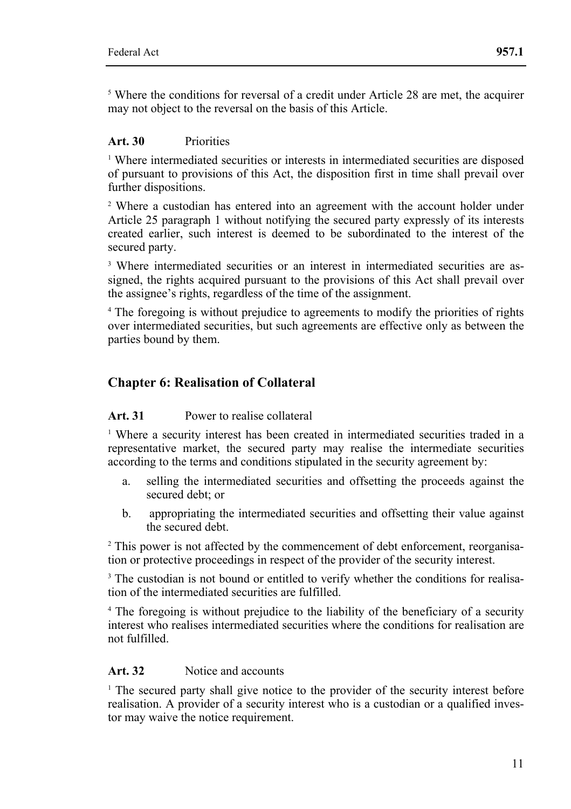<sup>5</sup> Where the conditions for reversal of a credit under Article 28 are met, the acquirer may not object to the reversal on the basis of this Article.

### **Art. 30** Priorities

<sup>1</sup> Where intermediated securities or interests in intermediated securities are disposed of pursuant to provisions of this Act, the disposition first in time shall prevail over further dispositions.

<sup>2</sup> Where a custodian has entered into an agreement with the account holder under Article 25 paragraph 1 without notifying the secured party expressly of its interests created earlier, such interest is deemed to be subordinated to the interest of the secured party.

<sup>3</sup> Where intermediated securities or an interest in intermediated securities are assigned, the rights acquired pursuant to the provisions of this Act shall prevail over the assignee's rights, regardless of the time of the assignment.

<sup>4</sup> The foregoing is without prejudice to agreements to modify the priorities of rights over intermediated securities, but such agreements are effective only as between the parties bound by them.

# **Chapter 6: Realisation of Collateral**

#### **Art. 31** Power to realise collateral

<sup>1</sup> Where a security interest has been created in intermediated securities traded in a representative market, the secured party may realise the intermediate securities according to the terms and conditions stipulated in the security agreement by:

- a. selling the intermediated securities and offsetting the proceeds against the secured debt; or
- b. appropriating the intermediated securities and offsetting their value against the secured debt.

<sup>2</sup> This power is not affected by the commencement of debt enforcement, reorganisation or protective proceedings in respect of the provider of the security interest.

<sup>3</sup> The custodian is not bound or entitled to verify whether the conditions for realisation of the intermediated securities are fulfilled.

<sup>4</sup> The foregoing is without prejudice to the liability of the beneficiary of a security interest who realises intermediated securities where the conditions for realisation are not fulfilled.

### Art. 32 Notice and accounts

<sup>1</sup> The secured party shall give notice to the provider of the security interest before realisation. A provider of a security interest who is a custodian or a qualified investor may waive the notice requirement.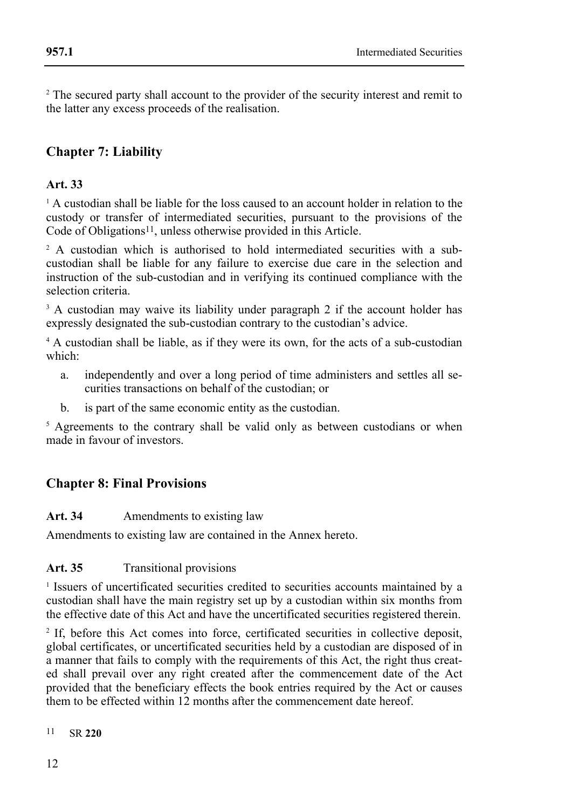<sup>2</sup> The secured party shall account to the provider of the security interest and remit to the latter any excess proceeds of the realisation.

# **Chapter 7: Liability**

### **Art. 33**

 $1$  A custodian shall be liable for the loss caused to an account holder in relation to the custody or transfer of intermediated securities, pursuant to the provisions of the Code of Obligations<sup>11</sup>, unless otherwise provided in this Article.

<sup>2</sup> A custodian which is authorised to hold intermediated securities with a subcustodian shall be liable for any failure to exercise due care in the selection and instruction of the sub-custodian and in verifying its continued compliance with the selection criteria.

<sup>3</sup> A custodian may waive its liability under paragraph 2 if the account holder has expressly designated the sub-custodian contrary to the custodian's advice.

<sup>4</sup> A custodian shall be liable, as if they were its own, for the acts of a sub-custodian which:

- a. independently and over a long period of time administers and settles all securities transactions on behalf of the custodian; or
- b. is part of the same economic entity as the custodian.

<sup>5</sup> Agreements to the contrary shall be valid only as between custodians or when made in favour of investors.

# **Chapter 8: Final Provisions**

#### **Art. 34** Amendments to existing law

Amendments to existing law are contained in the Annex hereto.

#### Art. 35 **Transitional provisions**

<sup>1</sup> Issuers of uncertificated securities credited to securities accounts maintained by a custodian shall have the main registry set up by a custodian within six months from the effective date of this Act and have the uncertificated securities registered therein.

<sup>2</sup> If, before this Act comes into force, certificated securities in collective deposit, global certificates, or uncertificated securities held by a custodian are disposed of in a manner that fails to comply with the requirements of this Act, the right thus created shall prevail over any right created after the commencement date of the Act provided that the beneficiary effects the book entries required by the Act or causes them to be effected within  $12$  months after the commencement date hereof.

 $11$ 11 SR **220**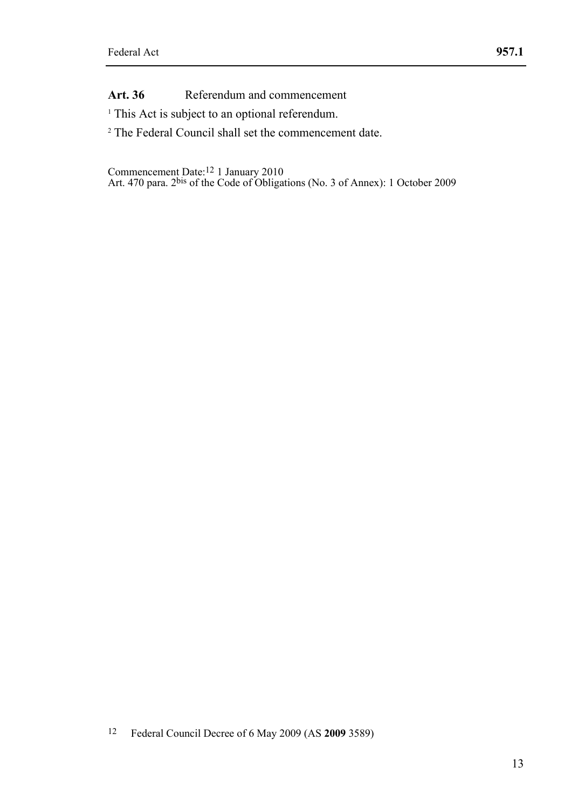Art. 36 Referendum and commencement

<sup>1</sup> This Act is subject to an optional referendum.

<sup>2</sup> The Federal Council shall set the commencement date.

Commencement Date:12 1 January 2010 Art. 470 para. 2bis of the Code of Obligations (No. 3 of Annex): 1 October 2009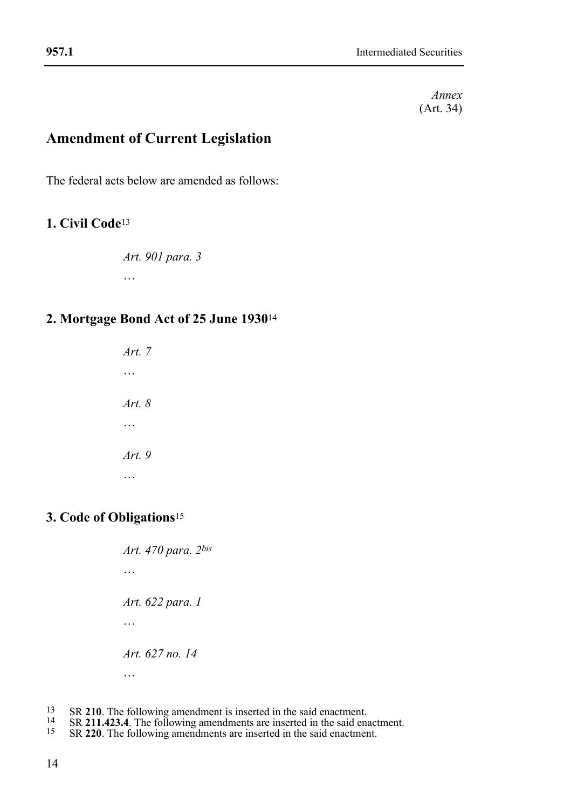*Annex*  (Art. 34)

# **Amendment of Current Legislation**

The federal acts below are amended as follows:

### **1. Civil Code**<sup>13</sup>

*Art. 901 para. 3*  …

### **2. Mortgage Bond Act of 25 June 1930**<sup>14</sup>

*Art. 7* … *Art. 8*  … *Art. 9*  …

### **3. Code of Obligations**<sup>15</sup>

*Art. 470 para. 2bis* … *Art. 622 para. 1*  … *Art. 627 no. 14*  …

- 13
- <sup>13</sup> SR 210. The following amendment is inserted in the said enactment.<br><sup>14</sup> SR 211.423.4. The following amendments are inserted in the said enactment.<br><sup>15</sup> SR 220. The following amendments are inserted in the said enactme
-